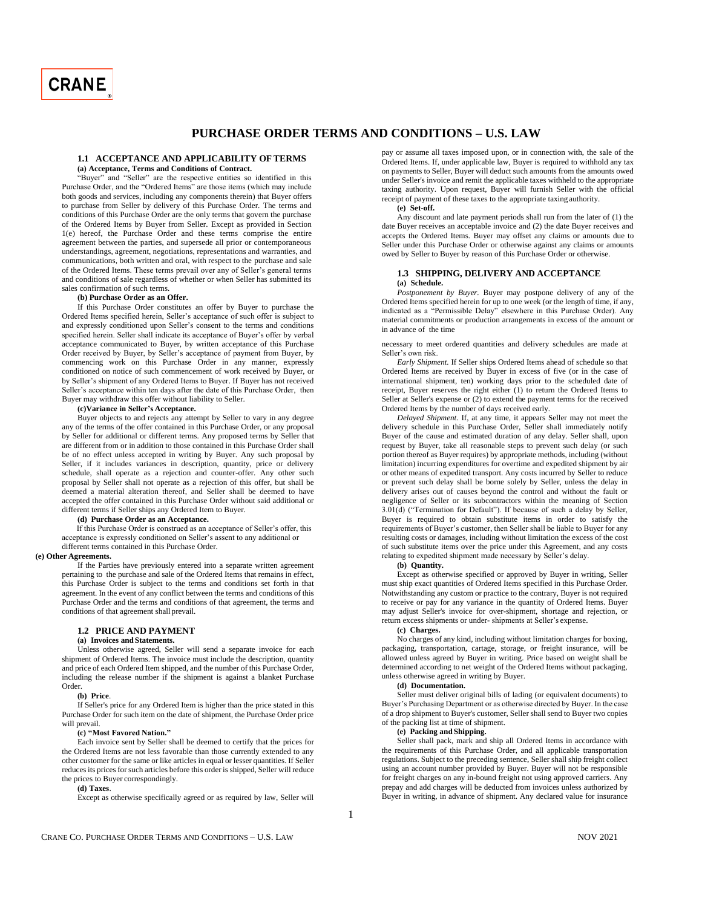

# **PURCHASE ORDER TERMS AND CONDITIONS – U.S. LAW**

# **1.1 ACCEPTANCE AND APPLICABILITY OF TERMS**

**(a) Acceptance, Terms and Conditions of Contract.**

"Buyer" and "Seller" are the respective entities so identified in this Purchase Order, and the "Ordered Items" are those items (which may include both goods and services, including any components therein) that Buyer offers to purchase from Seller by delivery of this Purchase Order. The terms and conditions of this Purchase Order are the only terms that govern the purchase of the Ordered Items by Buyer from Seller. Except as provided in Section 1(e) hereof, the Purchase Order and these terms comprise the entire agreement between the parties, and supersede all prior or contemporaneous understandings, agreement, negotiations, representations and warranties, and communications, both written and oral, with respect to the purchase and sale of the Ordered Items. These terms prevail over any of Seller's general terms and conditions of sale regardless of whether or when Seller has submitted its sales confirmation of such terms.

#### **(b) Purchase Order as an Offer.**

If this Purchase Order constitutes an offer by Buyer to purchase the Ordered Items specified herein, Seller's acceptance of such offer is subject to and expressly conditioned upon Seller's consent to the terms and conditions specified herein. Seller shall indicate its acceptance of Buyer's offer by verbal acceptance communicated to Buyer, by written acceptance of this Purchase Order received by Buyer, by Seller's acceptance of payment from Buyer, by commencing work on this Purchase Order in any manner, expressly conditioned on notice of such commencement of work received by Buyer, or by Seller's shipment of any Ordered Items to Buyer. If Buyer has not received Seller's acceptance within ten days after the date of this Purchase Order, then Buyer may withdraw this offer without liability to Seller.

### **(c)Variance in Seller's Acceptance.**

Buyer objects to and rejects any attempt by Seller to vary in any degree any of the terms of the offer contained in this Purchase Order, or any proposal by Seller for additional or different terms. Any proposed terms by Seller that are different from or in addition to those contained in this Purchase Order shall be of no effect unless accepted in writing by Buyer. Any such proposal by Seller, if it includes variances in description, quantity, price or delivery schedule, shall operate as a rejection and counter-offer. Any other such proposal by Seller shall not operate as a rejection of this offer, but shall be deemed a material alteration thereof, and Seller shall be deemed to have accepted the offer contained in this Purchase Order without said additional or different terms if Seller ships any Ordered Item to Buyer.

# **(d) Purchase Order as an Acceptance.**

If this Purchase Order is construed as an acceptance of Seller's offer, this acceptance is expressly conditioned on Seller's assent to any additional or different terms contained in this Purchase Order.

### **(e) Other Agreements.**

If the Parties have previously entered into a separate written agreement pertaining to the purchase and sale of the Ordered Items that remains in effect, this Purchase Order is subject to the terms and conditions set forth in that agreement. In the event of any conflict between the terms and conditions of this Purchase Order and the terms and conditions of that agreement, the terms and conditions of that agreement shall prevail.

## **1.2 PRICE AND PAYMENT**

# **(a) Invoices and Statements.**

Unless otherwise agreed, Seller will send a separate invoice for each shipment of Ordered Items. The invoice must include the description, quantity and price of each Ordered Item shipped, and the number of this Purchase Order, including the release number if the shipment is against a blanket Purchase Order.

#### **(b) Price**.

If Seller's price for any Ordered Item is higher than the price stated in this Purchase Order for such item on the date of shipment, the Purchase Order price will prevail.

### **(c) "Most Favored Nation."**

Each invoice sent by Seller shall be deemed to certify that the prices for the Ordered Items are not less favorable than those currently extended to any other customer for the same or like articles in equal or lesser quantities. If Seller reduces its prices for such articles before this order is shipped, Seller will reduce the prices to Buyer correspondingly.

#### **(d) Taxes**.

Except as otherwise specifically agreed or as required by law, Seller will

pay or assume all taxes imposed upon, or in connection with, the sale of the Ordered Items. If, under applicable law, Buyer is required to withhold any tax on payments to Seller, Buyer will deduct such amounts from the amounts owed under Seller's invoice and remit the applicable taxes withheld to the appropriate taxing authority. Upon request, Buyer will furnish Seller with the official receipt of payment of these taxes to the appropriate taxing authority.

**(e) Set-off.**

Any discount and late payment periods shall run from the later of (1) the date Buyer receives an acceptable invoice and (2) the date Buyer receives and accepts the Ordered Items. Buyer may offset any claims or amounts due to Seller under this Purchase Order or otherwise against any claims or amounts owed by Seller to Buyer by reason of this Purchase Order or otherwise.

### **1.3 SHIPPING, DELIVERY AND ACCEPTANCE (a) Schedule.**

*Postponement by Buyer.* Buyer may postpone delivery of any of the Ordered Items specified herein for up to one week (or the length of time, if any, indicated as a "Permissible Delay" elsewhere in this Purchase Order). Any material commitments or production arrangements in excess of the amount or in advance of the time

necessary to meet ordered quantities and delivery schedules are made at Seller's own risk.

*Early Shipment.* If Seller ships Ordered Items ahead of schedule so that Ordered Items are received by Buyer in excess of five (or in the case of international shipment, ten) working days prior to the scheduled date of receipt, Buyer reserves the right either (1) to return the Ordered Items to Seller at Seller's expense or (2) to extend the payment terms for the received Ordered Items by the number of days received early.

*Delayed Shipment.* If, at any time, it appears Seller may not meet the delivery schedule in this Purchase Order, Seller shall immediately notify Buyer of the cause and estimated duration of any delay. Seller shall, upon request by Buyer, take all reasonable steps to prevent such delay (or such portion thereof as Buyer requires) by appropriate methods, including (without limitation) incurring expenditures for overtime and expedited shipment by air or other means of expedited transport. Any costs incurred by Seller to reduce or prevent such delay shall be borne solely by Seller, unless the delay in delivery arises out of causes beyond the control and without the fault or negligence of Seller or its subcontractors within the meaning of Section 3.01(d) ("Termination for Default"). If because of such a delay by Seller, Buyer is required to obtain substitute items in order to satisfy the requirements of Buyer's customer, then Seller shall be liable to Buyer for any resulting costs or damages, including without limitation the excess of the cost of such substitute items over the price under this Agreement, and any costs relating to expedited shipment made necessary by Seller's delay.

### **(b) Quantity.**

Except as otherwise specified or approved by Buyer in writing, Seller must ship exact quantities of Ordered Items specified in this Purchase Order. Notwithstanding any custom or practice to the contrary, Buyer is not required to receive or pay for any variance in the quantity of Ordered Items. Buyer may adjust Seller's invoice for over-shipment, shortage and rejection, or return excess shipments or under- shipments at Seller's expense.

#### **(c) Charges.**

No charges of any kind, including without limitation charges for boxing, packaging, transportation, cartage, storage, or freight insurance, will be allowed unless agreed by Buyer in writing. Price based on weight shall be determined according to net weight of the Ordered Items without packaging, unless otherwise agreed in writing by Buyer.

# **(d) Documentation.**

Seller must deliver original bills of lading (or equivalent documents) to Buyer's Purchasing Department or as otherwise directed by Buyer. In the case of a drop shipment to Buyer's customer, Seller shall send to Buyer two copies of the packing list at time of shipment.

## **(e) Packing and Shipping.**

Seller shall pack, mark and ship all Ordered Items in accordance with the requirements of this Purchase Order, and all applicable transportation regulations. Subject to the preceding sentence, Seller shall ship freight collect using an account number provided by Buyer. Buyer will not be responsible for freight charges on any in-bound freight not using approved carriers. Any prepay and add charges will be deducted from invoices unless authorized by Buyer in writing, in advance of shipment. Any declared value for insurance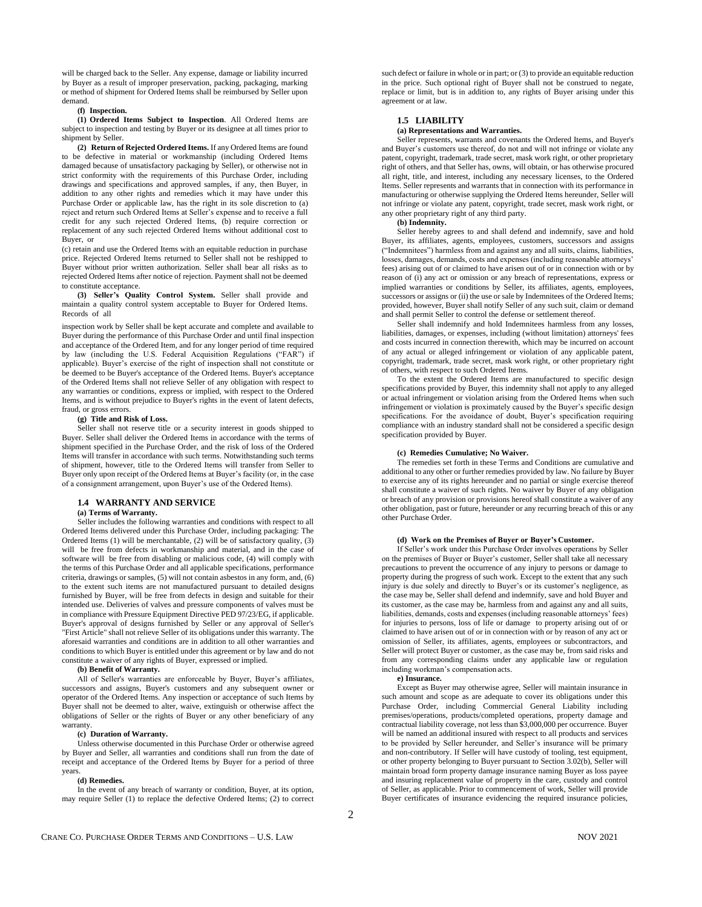will be charged back to the Seller. Any expense, damage or liability incurred by Buyer as a result of improper preservation, packing, packaging, marking or method of shipment for Ordered Items shall be reimbursed by Seller upon demand.

### **(f) Inspection.**

**(1) Ordered Items Subject to Inspection**. All Ordered Items are subject to inspection and testing by Buyer or its designee at all times prior to shipment by Seller.

**(2) Return of Rejected Ordered Items.** If any Ordered Items are found to be defective in material or workmanship (including Ordered Items damaged because of unsatisfactory packaging by Seller), or otherwise not in strict conformity with the requirements of this Purchase Order, including drawings and specifications and approved samples, if any, then Buyer, in addition to any other rights and remedies which it may have under this Purchase Order or applicable law, has the right in its sole discretion to (a) reject and return such Ordered Items at Seller's expense and to receive a full credit for any such rejected Ordered Items, (b) require correction or replacement of any such rejected Ordered Items without additional cost to Buyer, or

(c) retain and use the Ordered Items with an equitable reduction in purchase price. Rejected Ordered Items returned to Seller shall not be reshipped to Buyer without prior written authorization. Seller shall bear all risks as to rejected Ordered Items after notice of rejection. Payment shall not be deemed to constitute acceptance.

**(3) Seller's Quality Control System.** Seller shall provide and maintain a quality control system acceptable to Buyer for Ordered Items. Records of all

inspection work by Seller shall be kept accurate and complete and available to Buyer during the performance of this Purchase Order and until final inspection and acceptance of the Ordered Item, and for any longer period of time required by law (including the U.S. Federal Acquisition Regulations ("FAR") if applicable). Buyer's exercise of the right of inspection shall not constitute or be deemed to be Buyer's acceptance of the Ordered Items. Buyer's acceptance of the Ordered Items shall not relieve Seller of any obligation with respect to any warranties or conditions, express or implied, with respect to the Ordered Items, and is without prejudice to Buyer's rights in the event of latent defects, fraud, or gross errors.

#### **(g) Title and Risk of Loss.**

Seller shall not reserve title or a security interest in goods shipped to Buyer. Seller shall deliver the Ordered Items in accordance with the terms of shipment specified in the Purchase Order, and the risk of loss of the Ordered Items will transfer in accordance with such terms. Notwithstanding such terms of shipment, however, title to the Ordered Items will transfer from Seller to Buyer only upon receipt of the Ordered Items at Buyer's facility (or, in the case of a consignment arrangement, upon Buyer's use of the Ordered Items).

### **1.4 WARRANTY AND SERVICE**

#### **(a) Terms of Warranty.**

Seller includes the following warranties and conditions with respect to all Ordered Items delivered under this Purchase Order, including packaging: The Ordered Items (1) will be merchantable, (2) will be of satisfactory quality, (3) will be free from defects in workmanship and material, and in the case of software will be free from disabling or malicious code, (4) will comply with the terms of this Purchase Order and all applicable specifications, performance criteria, drawings or samples, (5) will not contain asbestos in any form, and, (6) to the extent such items are not manufactured pursuant to detailed designs furnished by Buyer, will be free from defects in design and suitable for their intended use. Deliveries of valves and pressure components of valves must be in compliance with Pressure Equipment Directive PED 97/23/EG, if applicable. Buyer's approval of designs furnished by Seller or any approval of Seller's "First Article" shall not relieve Seller of its obligations under this warranty. The aforesaid warranties and conditions are in addition to all other warranties and conditions to which Buyer is entitled under this agreement or by law and do not constitute a waiver of any rights of Buyer, expressed or implied.

#### **(b) Benefit of Warranty.**

All of Seller's warranties are enforceable by Buyer, Buyer's affiliates, successors and assigns, Buyer's customers and any subsequent owner or operator of the Ordered Items. Any inspection or acceptance of such Items by Buyer shall not be deemed to alter, waive, extinguish or otherwise affect the obligations of Seller or the rights of Buyer or any other beneficiary of any warranty.

#### **(c) Duration of Warranty.**

Unless otherwise documented in this Purchase Order or otherwise agreed by Buyer and Seller, all warranties and conditions shall run from the date of receipt and acceptance of the Ordered Items by Buyer for a period of three years.

# **(d) Remedies.**

In the event of any breach of warranty or condition, Buyer, at its option, may require Seller (1) to replace the defective Ordered Items; (2) to correct such defect or failure in whole or in part; or (3) to provide an equitable reduction in the price. Such optional right of Buyer shall not be construed to negate, replace or limit, but is in addition to, any rights of Buyer arising under this agreement or at law.

# **1.5 LIABILITY**

## **(a) Representations and Warranties.**

Seller represents, warrants and covenants the Ordered Items, and Buyer's and Buyer's customers use thereof, do not and will not infringe or violate any patent, copyright, trademark, trade secret, mask work right, or other proprietary right of others, and that Seller has, owns, will obtain, or has otherwise procured all right, title, and interest, including any necessary licenses, to the Ordered Items. Seller represents and warrants that in connection with its performance in manufacturing or otherwise supplying the Ordered Items hereunder, Seller will not infringe or violate any patent, copyright, trade secret, mask work right, or any other proprietary right of any third party.

#### **(b) Indemnity.**

Seller hereby agrees to and shall defend and indemnify, save and hold Buyer, its affiliates, agents, employees, customers, successors and assigns ("Indemnitees") harmless from and against any and all suits, claims, liabilities, losses, damages, demands, costs and expenses (including reasonable attorneys' fees) arising out of or claimed to have arisen out of or in connection with or by reason of (i) any act or omission or any breach of representations, express or implied warranties or conditions by Seller, its affiliates, agents, employees, successors or assigns or (ii) the use or sale by Indemnitees of the Ordered Items; provided, however, Buyer shall notify Seller of any such suit, claim or demand and shall permit Seller to control the defense or settlement thereof.

Seller shall indemnify and hold Indemnitees harmless from any losses, liabilities, damages, or expenses, including (without limitation) attorneys' fees and costs incurred in connection therewith, which may be incurred on account of any actual or alleged infringement or violation of any applicable patent, copyright, trademark, trade secret, mask work right, or other proprietary right of others, with respect to such Ordered Items.

To the extent the Ordered Items are manufactured to specific design specifications provided by Buyer, this indemnity shall not apply to any alleged or actual infringement or violation arising from the Ordered Items when such infringement or violation is proximately caused by the Buyer's specific design specifications. For the avoidance of doubt, Buyer's specification requiring compliance with an industry standard shall not be considered a specific design specification provided by Buyer.

### **(c) Remedies Cumulative; No Waiver.**

The remedies set forth in these Terms and Conditions are cumulative and additional to any other or further remedies provided by law. No failure by Buyer to exercise any of its rights hereunder and no partial or single exercise thereof shall constitute a waiver of such rights. No waiver by Buyer of any obligation or breach of any provision or provisions hereof shall constitute a waiver of any other obligation, past or future, hereunder or any recurring breach of this or any other Purchase Order.

## **(d) Work on the Premises of Buyer or Buyer's Customer.**

If Seller's work under this Purchase Order involves operations by Seller on the premises of Buyer or Buyer's customer, Seller shall take all necessary precautions to prevent the occurrence of any injury to persons or damage to property during the progress of such work. Except to the extent that any such injury is due solely and directly to Buyer's or its customer's negligence, as the case may be, Seller shall defend and indemnify, save and hold Buyer and its customer, as the case may be, harmless from and against any and all suits, liabilities, demands, costs and expenses (including reasonable attorneys' fees) for injuries to persons, loss of life or damage to property arising out of or claimed to have arisen out of or in connection with or by reason of any act or omission of Seller, its affiliates, agents, employees or subcontractors, and Seller will protect Buyer or customer, as the case may be, from said risks and from any corresponding claims under any applicable law or regulation including workman's compensation acts.

#### **e) Insurance.**

Except as Buyer may otherwise agree, Seller will maintain insurance in such amount and scope as are adequate to cover its obligations under this Purchase Order, including Commercial General Liability including premises/operations, products/completed operations, property damage and contractual liability coverage, not less than \$3,000,000 per occurrence. Buyer will be named an additional insured with respect to all products and services to be provided by Seller hereunder, and Seller's insurance will be primary and non-contributory. If Seller will have custody of tooling, test equipment, or other property belonging to Buyer pursuant to Section 3.02(b), Seller will maintain broad form property damage insurance naming Buyer as loss payee and insuring replacement value of property in the care, custody and control of Seller, as applicable. Prior to commencement of work, Seller will provide Buyer certificates of insurance evidencing the required insurance policies,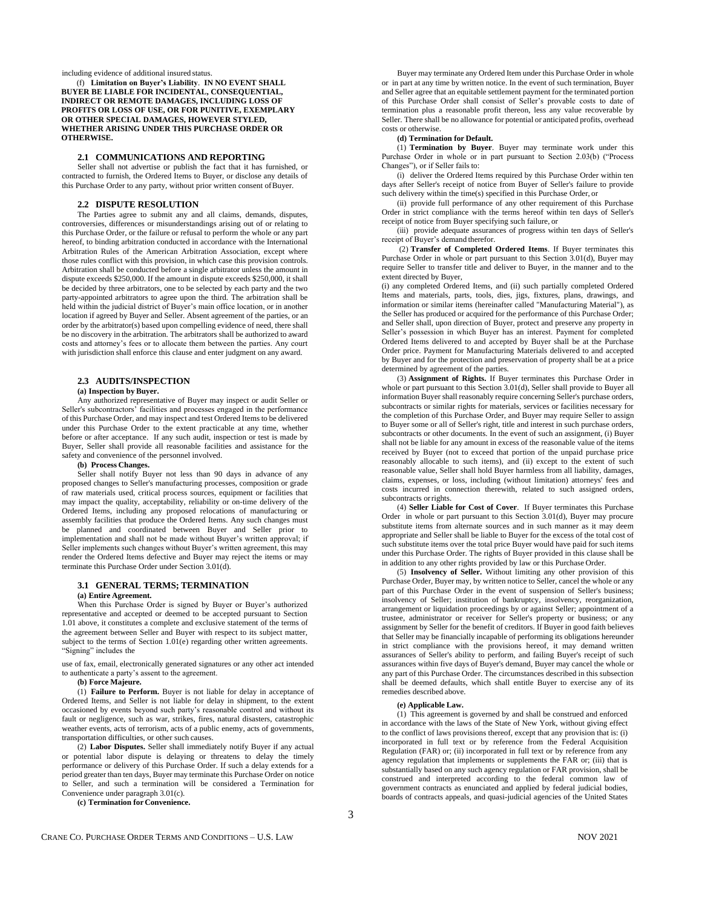including evidence of additional insured status.

(f) **Limitation on Buyer's Liability**. **IN NO EVENT SHALL BUYER BE LIABLE FOR INCIDENTAL, CONSEQUENTIAL, INDIRECT OR REMOTE DAMAGES, INCLUDING LOSS OF PROFITS OR LOSS OF USE, OR FOR PUNITIVE, EXEMPLARY OR OTHER SPECIAL DAMAGES, HOWEVER STYLED, WHETHER ARISING UNDER THIS PURCHASE ORDER OR OTHERWISE.**

# **2.1 COMMUNICATIONS AND REPORTING**

Seller shall not advertise or publish the fact that it has furnished, or contracted to furnish, the Ordered Items to Buyer, or disclose any details of this Purchase Order to any party, without prior written consent ofBuyer.

#### **2.2 DISPUTE RESOLUTION**

The Parties agree to submit any and all claims, demands, disputes, controversies, differences or misunderstandings arising out of or relating to this Purchase Order, or the failure or refusal to perform the whole or any part hereof, to binding arbitration conducted in accordance with the International Arbitration Rules of the American Arbitration Association, except where those rules conflict with this provision, in which case this provision controls. Arbitration shall be conducted before a single arbitrator unless the amount in dispute exceeds \$250,000. If the amount in dispute exceeds \$250,000, it shall be decided by three arbitrators, one to be selected by each party and the two party-appointed arbitrators to agree upon the third. The arbitration shall be held within the judicial district of Buyer's main office location, or in another location if agreed by Buyer and Seller. Absent agreement of the parties, or an order by the arbitrator(s) based upon compelling evidence of need, there shall be no discovery in the arbitration. The arbitrators shall be authorized to award costs and attorney's fees or to allocate them between the parties. Any court with jurisdiction shall enforce this clause and enter judgment on any award.

### **2.3 AUDITS/INSPECTION**

#### **(a) Inspection by Buyer.**

Any authorized representative of Buyer may inspect or audit Seller or Seller's subcontractors' facilities and processes engaged in the performance of this Purchase Order, and may inspect and test Ordered Items to be delivered under this Purchase Order to the extent practicable at any time, whether before or after acceptance. If any such audit, inspection or test is made by Buyer, Seller shall provide all reasonable facilities and assistance for the safety and convenience of the personnel involved.

# **(b) Process Changes.**

Seller shall notify Buyer not less than 90 days in advance of any proposed changes to Seller's manufacturing processes, composition or grade of raw materials used, critical process sources, equipment or facilities that may impact the quality, acceptability, reliability or on-time delivery of the Ordered Items, including any proposed relocations of manufacturing or assembly facilities that produce the Ordered Items. Any such changes must be planned and coordinated between Buyer and Seller prior to implementation and shall not be made without Buyer's written approval; if Seller implements such changes without Buyer's written agreement, this may render the Ordered Items defective and Buyer may reject the items or may terminate this Purchase Order under Section 3.01(d).

#### **3.1 GENERAL TERMS; TERMINATION**

#### **(a) Entire Agreement.**

When this Purchase Order is signed by Buyer or Buyer's authorized representative and accepted or deemed to be accepted pursuant to Section 1.01 above, it constitutes a complete and exclusive statement of the terms of the agreement between Seller and Buyer with respect to its subject matter, subject to the terms of Section 1.01(e) regarding other written agreements. "Signing" includes the

use of fax, email, electronically generated signatures or any other act intended to authenticate a party's assent to the agreement.

## **(b) Force Majeure.**

(1) **Failure to Perform.** Buyer is not liable for delay in acceptance of Ordered Items, and Seller is not liable for delay in shipment, to the extent occasioned by events beyond such party's reasonable control and without its fault or negligence, such as war, strikes, fires, natural disasters, catastrophic weather events, acts of terrorism, acts of a public enemy, acts of governments, transportation difficulties, or other such causes.

(2) **Labor Disputes.** Seller shall immediately notify Buyer if any actual or potential labor dispute is delaying or threatens to delay the timely performance or delivery of this Purchase Order. If such a delay extends for a period greater than ten days, Buyer may terminate this Purchase Order on notice to Seller, and such a termination will be considered a Termination for Convenience under paragraph 3.01(c).

**(c) Termination for Convenience.**

Buyer may terminate any Ordered Item under this Purchase Order in whole or in part at any time by written notice. In the event of such termination, Buyer and Seller agree that an equitable settlement payment for the terminated portion of this Purchase Order shall consist of Seller's provable costs to date of termination plus a reasonable profit thereon, less any value recoverable by Seller. There shall be no allowance for potential or anticipated profits, overhead costs or otherwise.

## **(d) Termination for Default.**

(1) **Termination by Buyer**. Buyer may terminate work under this Purchase Order in whole or in part pursuant to Section 2.03(b) ("Process Changes"), or if Seller fails to:

(i) deliver the Ordered Items required by this Purchase Order within ten days after Seller's receipt of notice from Buyer of Seller's failure to provide such delivery within the time(s) specified in this Purchase Order, or

(ii) provide full performance of any other requirement of this Purchase Order in strict compliance with the terms hereof within ten days of Seller's receipt of notice from Buyer specifying such failure, or

(iii) provide adequate assurances of progress within ten days of Seller's receipt of Buyer's demand therefor.

(2) **Transfer of Completed Ordered Items**. If Buyer terminates this Purchase Order in whole or part pursuant to this Section 3.01(d), Buyer may require Seller to transfer title and deliver to Buyer, in the manner and to the extent directed by Buyer,

(i) any completed Ordered Items, and (ii) such partially completed Ordered Items and materials, parts, tools, dies, jigs, fixtures, plans, drawings, and information or similar items (hereinafter called "Manufacturing Material"), as the Seller has produced or acquired for the performance of this Purchase Order; and Seller shall, upon direction of Buyer, protect and preserve any property in Seller's possession in which Buyer has an interest. Payment for completed Ordered Items delivered to and accepted by Buyer shall be at the Purchase Order price. Payment for Manufacturing Materials delivered to and accepted by Buyer and for the protection and preservation of property shall be at a price determined by agreement of the parties.

(3) **Assignment of Rights.** If Buyer terminates this Purchase Order in whole or part pursuant to this Section 3.01(d), Seller shall provide to Buyer all information Buyer shall reasonably require concerning Seller's purchase orders, subcontracts or similar rights for materials, services or facilities necessary for the completion of this Purchase Order, and Buyer may require Seller to assign to Buyer some or all of Seller's right, title and interest in such purchase orders, subcontracts or other documents. In the event of such an assignment, (i) Buyer shall not be liable for any amount in excess of the reasonable value of the items received by Buyer (not to exceed that portion of the unpaid purchase price reasonably allocable to such items), and (ii) except to the extent of such reasonable value, Seller shall hold Buyer harmless from all liability, damages, claims, expenses, or loss, including (without limitation) attorneys' fees and costs incurred in connection therewith, related to such assigned orders, subcontracts orrights.

(4) **Seller Liable for Cost of Cover**. If Buyer terminates this Purchase Order in whole or part pursuant to this Section 3.01(d), Buyer may procure substitute items from alternate sources and in such manner as it may deem appropriate and Seller shall be liable to Buyer for the excess of the total cost of such substitute items over the total price Buyer would have paid for such items under this Purchase Order. The rights of Buyer provided in this clause shall be in addition to any other rights provided by law or this Purchase Order.

(5) **Insolvency of Seller.** Without limiting any other provision of this Purchase Order, Buyer may, by written notice to Seller, cancel the whole or any part of this Purchase Order in the event of suspension of Seller's business; insolvency of Seller; institution of bankruptcy, insolvency, reorganization, arrangement or liquidation proceedings by or against Seller; appointment of a trustee, administrator or receiver for Seller's property or business; or any assignment by Seller for the benefit of creditors. If Buyer in good faith believes that Seller may be financially incapable of performing its obligations hereunder in strict compliance with the provisions hereof, it may demand written assurances of Seller's ability to perform, and failing Buyer's receipt of such assurances within five days of Buyer's demand, Buyer may cancel the whole or any part of this Purchase Order. The circumstances described in this subsection shall be deemed defaults, which shall entitle Buyer to exercise any of its remedies described above.

### **(e) Applicable Law.**

(1) This agreement is governed by and shall be construed and enforced in accordance with the laws of the State of New York, without giving effect to the conflict of laws provisions thereof, except that any provision that is: (i) incorporated in full text or by reference from the Federal Acquisition Regulation (FAR) or; (ii) incorporated in full text or by reference from any agency regulation that implements or supplements the FAR or; (iii) that is substantially based on any such agency regulation or FAR provision, shall be construed and interpreted according to the federal common law of government contracts as enunciated and applied by federal judicial bodies, boards of contracts appeals, and quasi-judicial agencies of the United States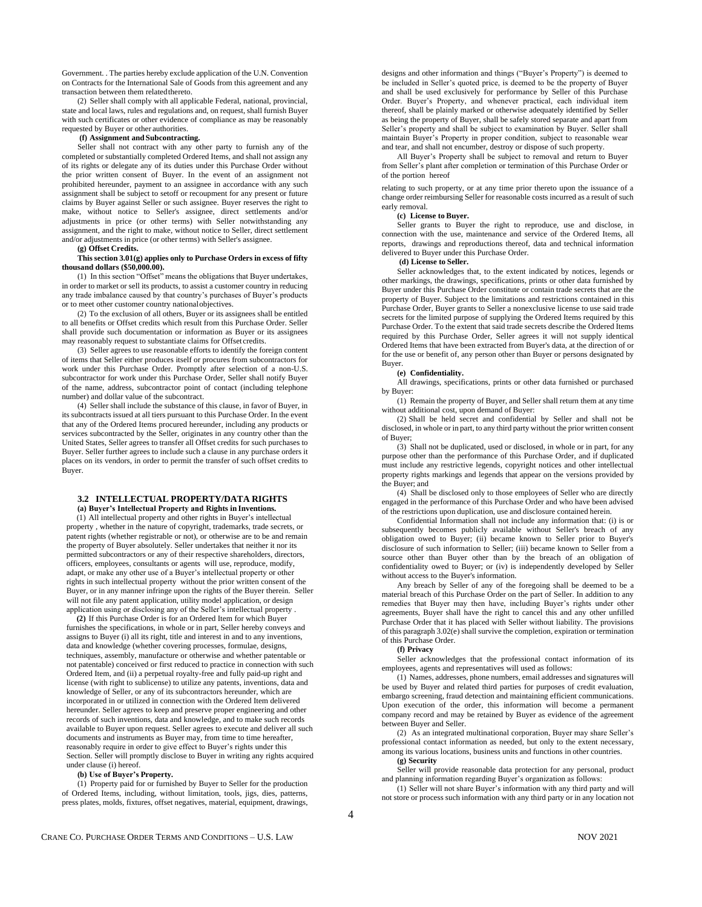Government. . The parties hereby exclude application of the U.N. Convention on Contracts for the International Sale of Goods from this agreement and any transaction between them relatedthereto.

(2) Seller shall comply with all applicable Federal, national, provincial, state and local laws, rules and regulations and, on request, shall furnish Buyer with such certificates or other evidence of compliance as may be reasonably requested by Buyer or other authorities.

### **(f) Assignment and Subcontracting.**

Seller shall not contract with any other party to furnish any of the completed or substantially completed Ordered Items, and shall not assign any of its rights or delegate any of its duties under this Purchase Order without the prior written consent of Buyer. In the event of an assignment not prohibited hereunder, payment to an assignee in accordance with any such assignment shall be subject to setoff or recoupment for any present or future claims by Buyer against Seller or such assignee. Buyer reserves the right to make, without notice to Seller's assignee, direct settlements and/or adjustments in price (or other terms) with Seller notwithstanding any assignment, and the right to make, without notice to Seller, direct settlement and/or adjustments in price (or other terms) with Seller's assignee.

#### **(g) Offset Credits.**

**This section 3.01(g) applies only to Purchase Orders in excess of fifty thousand dollars (\$50,000.00).**

(1) In this section "Offset" means the obligations that Buyer undertakes, in order to market or sell its products, to assist a customer country in reducing any trade imbalance caused by that country's purchases of Buyer's products or to meet other customer country nationalobjectives.

(2) To the exclusion of all others, Buyer or its assignees shall be entitled to all benefits or Offset credits which result from this Purchase Order. Seller shall provide such documentation or information as Buyer or its assignees may reasonably request to substantiate claims for Offset credits.

(3) Seller agrees to use reasonable efforts to identify the foreign content of items that Seller either produces itself or procures from subcontractors for work under this Purchase Order. Promptly after selection of a non-U.S. subcontractor for work under this Purchase Order, Seller shall notify Buyer of the name, address, subcontractor point of contact (including telephone number) and dollar value of the subcontract.

(4) Seller shall include the substance of this clause, in favor of Buyer, in its subcontracts issued at all tiers pursuant to this Purchase Order. In the event that any of the Ordered Items procured hereunder, including any products or services subcontracted by the Seller, originates in any country other than the United States, Seller agrees to transfer all Offset credits for such purchases to Buyer. Seller further agrees to include such a clause in any purchase orders it places on its vendors, in order to permit the transfer of such offset credits to Buyer.

### **3.2 INTELLECTUAL PROPERTY/DATA RIGHTS (a) Buyer's Intellectual Property and Rights in Inventions.**

(1) All intellectual property and other rights in Buyer's intellectual property , whether in the nature of copyright, trademarks, trade secrets, or patent rights (whether registrable or not), or otherwise are to be and remain the property of Buyer absolutely. Seller undertakes that neither it nor its permitted subcontractors or any of their respective shareholders, directors, officers, employees, consultants or agents will use, reproduce, modify, adapt, or make any other use of a Buyer's intellectual property or other rights in such intellectual property without the prior written consent of the Buyer, or in any manner infringe upon the rights of the Buyer therein. Seller will not file any patent application, utility model application, or design application using or disclosing any of the Seller's intellectual property .

**(2)** If this Purchase Order is for an Ordered Item for which Buyer furnishes the specifications, in whole or in part, Seller hereby conveys and assigns to Buyer (i) all its right, title and interest in and to any inventions, data and knowledge (whether covering processes, formulae, designs, techniques, assembly, manufacture or otherwise and whether patentable or not patentable) conceived or first reduced to practice in connection with such Ordered Item, and (ii) a perpetual royalty-free and fully paid-up right and license (with right to sublicense) to utilize any patents, inventions, data and knowledge of Seller, or any of its subcontractors hereunder, which are incorporated in or utilized in connection with the Ordered Item delivered hereunder. Seller agrees to keep and preserve proper engineering and other records of such inventions, data and knowledge, and to make such records available to Buyer upon request. Seller agrees to execute and deliver all such documents and instruments as Buyer may, from time to time hereafter, reasonably require in order to give effect to Buyer's rights under this Section. Seller will promptly disclose to Buyer in writing any rights acquired under clause (i) hereof.

#### **(b) Use of Buyer's Property.**

(1) Property paid for or furnished by Buyer to Seller for the production of Ordered Items, including, without limitation, tools, jigs, dies, patterns, press plates, molds, fixtures, offset negatives, material, equipment, drawings,

designs and other information and things ("Buyer's Property") is deemed to be included in Seller's quoted price, is deemed to be the property of Buyer and shall be used exclusively for performance by Seller of this Purchase Order. Buyer's Property, and whenever practical, each individual item thereof, shall be plainly marked or otherwise adequately identified by Seller as being the property of Buyer, shall be safely stored separate and apart from Seller's property and shall be subject to examination by Buyer. Seller shall maintain Buyer's Property in proper condition, subject to reasonable wear and tear, and shall not encumber, destroy or dispose of such property.

All Buyer's Property shall be subject to removal and return to Buyer from Seller's plant after completion or termination of this Purchase Order or of the portion hereof

relating to such property, or at any time prior thereto upon the issuance of a change order reimbursing Seller for reasonable costs incurred as a result of such early removal.

#### **(c) License to Buyer.**

Seller grants to Buyer the right to reproduce, use and disclose, in connection with the use, maintenance and service of the Ordered Items, all reports, drawings and reproductions thereof, data and technical information delivered to Buyer under this Purchase Order.

## **(d) License to Seller.**

Seller acknowledges that, to the extent indicated by notices, legends or other markings, the drawings, specifications, prints or other data furnished by Buyer under this Purchase Order constitute or contain trade secrets that are the property of Buyer. Subject to the limitations and restrictions contained in this Purchase Order, Buyer grants to Seller a nonexclusive license to use said trade secrets for the limited purpose of supplying the Ordered Items required by this Purchase Order. To the extent that said trade secrets describe the Ordered Items required by this Purchase Order, Seller agrees it will not supply identical Ordered Items that have been extracted from Buyer's data, at the direction of or for the use or benefit of, any person other than Buyer or persons designated by Buyer.

#### **(e) Confidentiality.**

All drawings, specifications, prints or other data furnished or purchased by Buyer:

(1) Remain the property of Buyer, and Seller shall return them at any time without additional cost, upon demand of Buyer:

(2) Shall be held secret and confidential by Seller and shall not be disclosed, in whole or in part, to any third party without the prior written consent of Buyer;

(3) Shall not be duplicated, used or disclosed, in whole or in part, for any purpose other than the performance of this Purchase Order, and if duplicated must include any restrictive legends, copyright notices and other intellectual property rights markings and legends that appear on the versions provided by the Buyer; and

(4) Shall be disclosed only to those employees of Seller who are directly engaged in the performance of this Purchase Order and who have been advised of the restrictions upon duplication, use and disclosure contained herein.

Confidential Information shall not include any information that: (i) is or subsequently becomes publicly available without Seller's breach of any obligation owed to Buyer; (ii) became known to Seller prior to Buyer's disclosure of such information to Seller; (iii) became known to Seller from a source other than Buyer other than by the breach of an obligation of confidentiality owed to Buyer; or (iv) is independently developed by Seller without access to the Buyer's information.

Any breach by Seller of any of the foregoing shall be deemed to be a material breach of this Purchase Order on the part of Seller. In addition to any remedies that Buyer may then have, including Buyer's rights under other agreements, Buyer shall have the right to cancel this and any other unfilled Purchase Order that it has placed with Seller without liability. The provisions of this paragraph 3.02(e) shall survive the completion, expiration or termination of this Purchase Order.

#### **(f) Privacy**

Seller acknowledges that the professional contact information of its employees, agents and representatives will used as follows:

(1) Names, addresses, phone numbers, email addresses and signatures will be used by Buyer and related third parties for purposes of credit evaluation, embargo screening, fraud detection and maintaining efficient communications. Upon execution of the order, this information will become a permanent company record and may be retained by Buyer as evidence of the agreement between Buyer and Seller.

(2) As an integrated multinational corporation, Buyer may share Seller's professional contact information as needed, but only to the extent necessary, among its various locations, business units and functions in other countries.

**(g) Security**

Seller will provide reasonable data protection for any personal, product and planning information regarding Buyer's organization as follows:

(1) Seller will not share Buyer's information with any third party and will not store or process such information with any third party or in any location not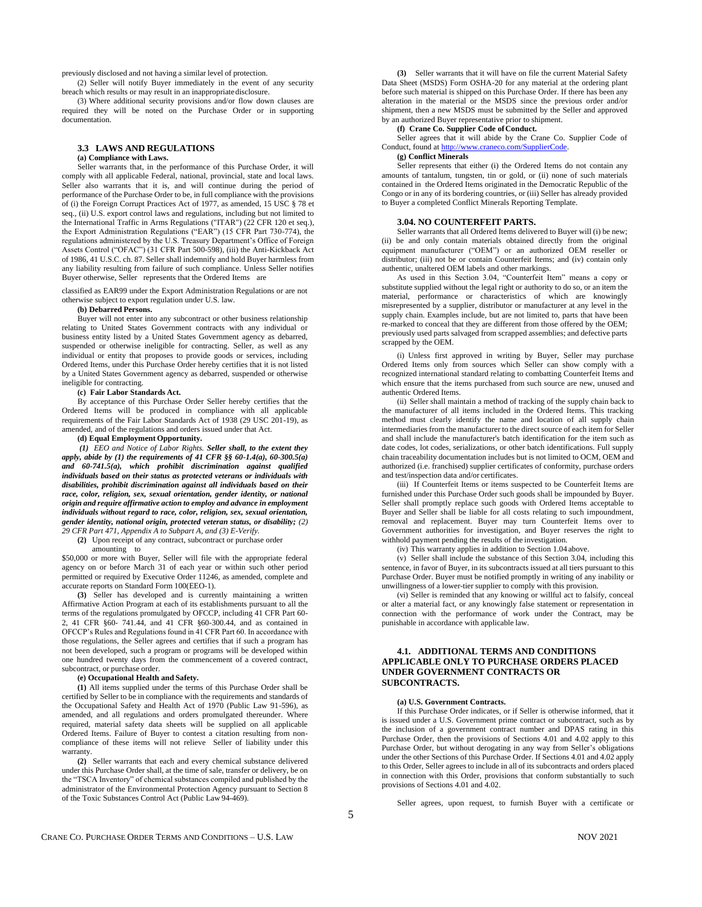previously disclosed and not having a similar level of protection.

(2) Seller will notify Buyer immediately in the event of any security breach which results or may result in an inappropriatedisclosure.

(3) Where additional security provisions and/or flow down clauses are required they will be noted on the Purchase Order or in supporting documentation.

### **3.3 LAWS AND REGULATIONS (a) Compliance with Laws.**

Seller warrants that, in the performance of this Purchase Order, it will comply with all applicable Federal, national, provincial, state and local laws. Seller also warrants that it is, and will continue during the period of performance of the Purchase Order to be, in full compliance with the provisions of (i) the Foreign Corrupt Practices Act of 1977, as amended, 15 USC § 78 et seq., (ii) U.S. export control laws and regulations, including but not limited to the International Traffic in Arms Regulations ("ITAR") (22 CFR 120 et seq.), the Export Administration Regulations ("EAR") (15 CFR Part 730-774), the regulations administered by the U.S. Treasury Department's Office of Foreign Assets Control ("OFAC") (31 CFR Part 500-598), (iii) the Anti-Kickback Act of 1986, 41 U.S.C. ch. 87. Seller shall indemnify and hold Buyer harmless from any liability resulting from failure of such compliance. Unless Seller notifies Buyer otherwise, Seller represents that the Ordered Items are

classified as EAR99 under the Export Administration Regulations or are not otherwise subject to export regulation under U.S. law.

## **(b) Debarred Persons.**

Buyer will not enter into any subcontract or other business relationship relating to United States Government contracts with any individual or business entity listed by a United States Government agency as debarred, suspended or otherwise ineligible for contracting. Seller, as well as any individual or entity that proposes to provide goods or services, including Ordered Items, under this Purchase Order hereby certifies that it is not listed by a United States Government agency as debarred, suspended or otherwise ineligible for contracting.

### **(c) Fair Labor Standards Act.**

By acceptance of this Purchase Order Seller hereby certifies that the Ordered Items will be produced in compliance with all applicable requirements of the Fair Labor Standards Act of 1938 (29 USC 201-19), as amended, and of the regulations and orders issued under that Act.

# **(d) Equal Employment Opportunity.**

*(1) EEO and Notice of Labor Rights. Seller shall, to the extent they apply, abide by (1) the requirements of 41 CFR §§ 60-1.4(a), 60-300.5(a) and 60-741.5(a), which prohibit discrimination against qualified individuals based on their status as protected veterans or individuals with disabilities, prohibit discrimination against all individuals based on their race, color, religion, sex, sexual orientation, gender identity, or national origin and require affirmative action to employ and advance in employment individuals without regard to race, color, religion, sex, sexual orientation, gender identity, national origin, protected veteran status, or disability; (2) 29 CFR Part 471, Appendix A to Subpart A, and (3) E-Verify.*

**(2)** Upon receipt of any contract, subcontract or purchase order

#### amounting to

\$50,000 or more with Buyer, Seller will file with the appropriate federal agency on or before March 31 of each year or within such other period permitted or required by Executive Order 11246, as amended, complete and accurate reports on Standard Form 100(EEO-1).

**(3)** Seller has developed and is currently maintaining a written Affirmative Action Program at each of its establishments pursuant to all the terms of the regulations promulgated by OFCCP, including 41 CFR Part 60- 2, 41 CFR §60- 741.44, and 41 CFR §60-300.44, and as contained in OFCCP's Rules and Regulations found in 41 CFR Part 60. In accordance with those regulations, the Seller agrees and certifies that if such a program has not been developed, such a program or programs will be developed within one hundred twenty days from the commencement of a covered contract, subcontract, or purchase order.

### **(e) Occupational Health and Safety.**

**(1)** All items supplied under the terms of this Purchase Order shall be certified by Seller to be in compliance with the requirements and standards of the Occupational Safety and Health Act of 1970 (Public Law 91-596), as amended, and all regulations and orders promulgated thereunder. Where required, material safety data sheets will be supplied on all applicable Ordered Items. Failure of Buyer to contest a citation resulting from noncompliance of these items will not relieve Seller of liability under this warranty.

**(2)** Seller warrants that each and every chemical substance delivered under this Purchase Order shall, at the time of sale, transfer or delivery, be on the "TSCA Inventory" of chemical substances compiled and published by the administrator of the Environmental Protection Agency pursuant to Section 8 of the Toxic Substances Control Act (Public Law 94-469).

**(3)** Seller warrants that it will have on file the current Material Safety Data Sheet (MSDS) Form OSHA-20 for any material at the ordering plant before such material is shipped on this Purchase Order. If there has been any alteration in the material or the MSDS since the previous order and/or shipment, then a new MSDS must be submitted by the Seller and approved by an authorized Buyer representative prior to shipment.

#### **(f) Crane Co. Supplier Code ofConduct.**

Seller agrees that it will abide by the Crane Co. Supplier Code of Conduct, found a[t http://www.craneco.com/SupplierCode.](http://www.craneco.com/SupplierCode)

# **(g) Conflict Minerals**

Seller represents that either (i) the Ordered Items do not contain any amounts of tantalum, tungsten, tin or gold, or (ii) none of such materials contained in the Ordered Items originated in the Democratic Republic of the Congo or in any of its bordering countries, or (iii) Seller has already provided to Buyer a completed Conflict Minerals Reporting Template.

# **3.04. NO COUNTERFEIT PARTS.**

Seller warrants that all Ordered Items delivered to Buyer will (i) be new; (ii) be and only contain materials obtained directly from the original equipment manufacturer ("OEM") or an authorized OEM reseller or distributor; (iii) not be or contain Counterfeit Items; and (iv) contain only authentic, unaltered OEM labels and other markings.

As used in this Section 3.04, "Counterfeit Item" means a copy or substitute supplied without the legal right or authority to do so, or an item the material, performance or characteristics of which are knowingly misrepresented by a supplier, distributor or manufacturer at any level in the supply chain. Examples include, but are not limited to, parts that have been re-marked to conceal that they are different from those offered by the OEM; previously used parts salvaged from scrapped assemblies; and defective parts scrapped by the OEM.

(i) Unless first approved in writing by Buyer, Seller may purchase Ordered Items only from sources which Seller can show comply with a recognized international standard relating to combatting Counterfeit Items and which ensure that the items purchased from such source are new, unused and authentic Ordered Items.

(ii) Seller shall maintain a method of tracking of the supply chain back to the manufacturer of all items included in the Ordered Items. This tracking method must clearly identify the name and location of all supply chain intermediaries from the manufacturer to the direct source of each item for Seller and shall include the manufacturer's batch identification for the item such as date codes, lot codes, serializations, or other batch identifications. Full supply chain traceability documentation includes but is not limited to OCM, OEM and authorized (i.e. franchised) supplier certificates of conformity, purchase orders and test/inspection data and/or certificates.

(iii) If Counterfeit Items or items suspected to be Counterfeit Items are furnished under this Purchase Order such goods shall be impounded by Buyer. Seller shall promptly replace such goods with Ordered Items acceptable to Buyer and Seller shall be liable for all costs relating to such impoundment, removal and replacement. Buyer may turn Counterfeit Items over to Government authorities for investigation, and Buyer reserves the right to withhold payment pending the results of the investigation.

(iv) This warranty applies in addition to Section 1.04 above.

(v) Seller shall include the substance of this Section 3.04, including this sentence, in favor of Buyer, in its subcontracts issued at all tiers pursuant to this Purchase Order. Buyer must be notified promptly in writing of any inability or unwillingness of a lower-tier supplier to comply with this provision.

(vi) Seller is reminded that any knowing or willful act to falsify, conceal or alter a material fact, or any knowingly false statement or representation in connection with the performance of work under the Contract, may be punishable in accordance with applicable law.

# **4.1. ADDITIONAL TERMS AND CONDITIONS APPLICABLE ONLY TO PURCHASE ORDERS PLACED UNDER GOVERNMENT CONTRACTS OR SUBCONTRACTS.**

### **(a) U.S. Government Contracts.**

If this Purchase Order indicates, or if Seller is otherwise informed, that it is issued under a U.S. Government prime contract or subcontract, such as by the inclusion of a government contract number and DPAS rating in this Purchase Order, then the provisions of Sections 4.01 and 4.02 apply to this Purchase Order, but without derogating in any way from Seller's obligations under the other Sections of this Purchase Order. If Sections 4.01 and 4.02 apply to this Order, Seller agrees to include in all of its subcontracts and orders placed in connection with this Order, provisions that conform substantially to such provisions of Sections 4.01 and 4.02.

Seller agrees, upon request, to furnish Buyer with a certificate or

5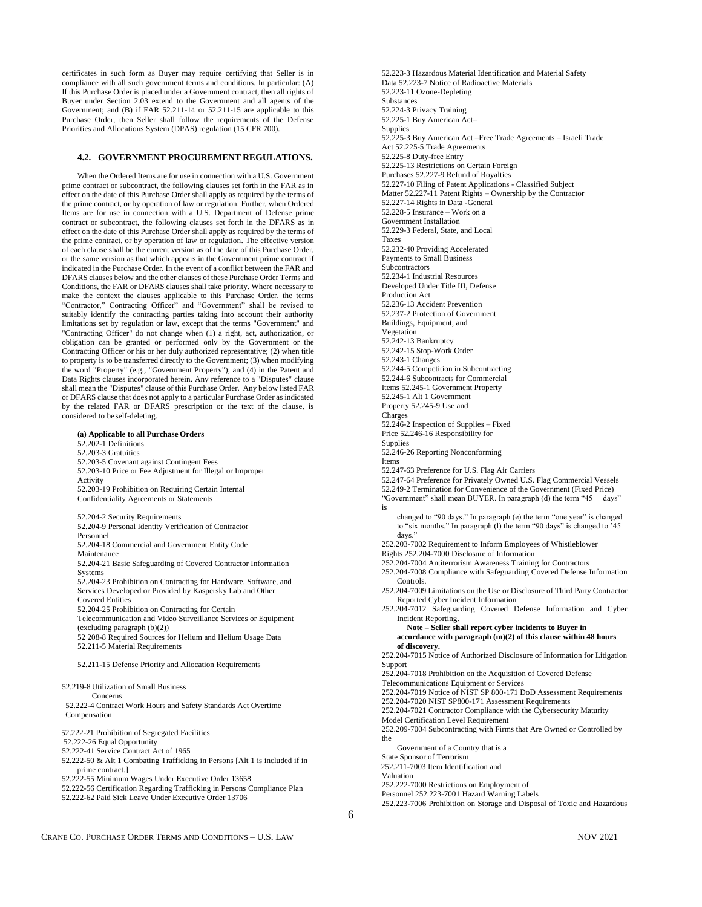certificates in such form as Buyer may require certifying that Seller is in compliance with all such government terms and conditions. In particular: (A) If this Purchase Order is placed under a Government contract, then all rights of Buyer under Section 2.03 extend to the Government and all agents of the Government; and (B) if FAR 52.211-14 or 52.211-15 are applicable to this Purchase Order, then Seller shall follow the requirements of the Defense Priorities and Allocations System (DPAS) regulation (15 CFR 700).

# **4.2. GOVERNMENT PROCUREMENT REGULATIONS.**

When the Ordered Items are for use in connection with a U.S. Government prime contract or subcontract, the following clauses set forth in the FAR as in effect on the date of this Purchase Order shall apply as required by the terms of the prime contract, or by operation of law or regulation. Further, when Ordered Items are for use in connection with a U.S. Department of Defense prime contract or subcontract, the following clauses set forth in the DFARS as in effect on the date of this Purchase Order shall apply as required by the terms of the prime contract, or by operation of law or regulation. The effective version of each clause shall be the current version as of the date of this Purchase Order, or the same version as that which appears in the Government prime contract if indicated in the Purchase Order. In the event of a conflict between the FAR and DFARS clauses below and the other clauses of these Purchase Order Terms and Conditions, the FAR or DFARS clauses shall take priority. Where necessary to make the context the clauses applicable to this Purchase Order, the terms "Contractor," Contracting Officer" and "Government" shall be revised to suitably identify the contracting parties taking into account their authority limitations set by regulation or law, except that the terms "Government" and "Contracting Officer" do not change when (1) a right, act, authorization, or obligation can be granted or performed only by the Government or the Contracting Officer or his or her duly authorized representative; (2) when title to property is to be transferred directly to the Government; (3) when modifying the word "Property" (e.g., "Government Property"); and (4) in the Patent and Data Rights clauses incorporated herein. Any reference to a "Disputes" clause shall mean the "Disputes" clause of this Purchase Order. Any below listed FAR or DFARS clause that does not apply to a particular Purchase Order as indicated by the related FAR or DFARS prescription or the text of the clause, is considered to be self-deleting.

**(a) Applicable to all Purchase Orders** 52.202-1 Definitions 52.203-3 Gratuities 52.203-5 Covenant against Contingent Fees 52.203-10 Price or Fee Adjustment for Illegal or Improper Activity 52.203-19 Prohibition on Requiring Certain Internal Confidentiality Agreements or Statements 52.204-2 Security Requirements 52.204-9 Personal Identity Verification of Contractor Personnel 52.204-18 Commercial and Government Entity Code Maintenance 52.204-21 Basic Safeguarding of Covered Contractor Information Systems 52.204-23 Prohibition on Contracting for Hardware, Software, and Services Developed or Provided by Kaspersky Lab and Other Covered Entities 52.204-25 Prohibition on Contracting for Certain Telecommunication and Video Surveillance Services or Equipment (excluding paragraph (b)(2)) 52 208-8 Required Sources for Helium and Helium Usage Data 52.211-5 Material Requirements 52.211-15 Defense Priority and Allocation Requirements 52.219-8 Utilization of Small Business Concerns 52.222-4 Contract Work Hours and Safety Standards Act Overtime Compensation 52.222-21 Prohibition of Segregated Facilities 52.222-26 Equal Opportunity 52.222-41 Service Contract Act of 1965 52.222-50 & Alt 1 Combating Trafficking in Persons [Alt 1 is included if in prime contract.] 52.222-55 Minimum Wages Under Executive Order 13658

52.222-56 Certification Regarding Trafficking in Persons Compliance Plan

52.222-62 Paid Sick Leave Under Executive Order 13706

52.223-3 Hazardous Material Identification and Material Safety Data 52.223-7 Notice of Radioactive Materials 52.223-11 Ozone-Depleting Substances 52.224-3 Privacy Training 52.225-1 Buy American Act– **Supplies** 52.225-3 Buy American Act –Free Trade Agreements – Israeli Trade Act 52.225-5 Trade Agreements 52.225-8 Duty-free Entry 52.225-13 Restrictions on Certain Foreign Purchases 52.227-9 Refund of Royalties 52.227-10 Filing of Patent Applications - Classified Subject Matter 52.227-11 Patent Rights – Ownership by the Contractor 52.227-14 Rights in Data -General 52.228-5 Insurance – Work on a Government Installation 52.229-3 Federal, State, and Local Taxes 52.232-40 Providing Accelerated Payments to Small Business **Subcontractors** 52.234-1 Industrial Resources Developed Under Title III, Defense Production Act 52.236-13 Accident Prevention 52.237-2 Protection of Government Buildings, Equipment, and Vegetation 52.242-13 Bankruptcy 52.242-15 Stop-Work Order 52.243-1 Changes 52.244-5 Competition in Subcontracting 52.244-6 Subcontracts for Commercial Items 52.245-1 Government Property 52.245-1 Alt 1 Government Property 52.245-9 Use and Charges 52.246-2 Inspection of Supplies – Fixed Price 52.246-16 Responsibility for **Supplies** 52.246-26 Reporting Nonconforming Items 52.247-63 Preference for U.S. Flag Air Carriers 52.247-64 Preference for Privately Owned U.S. Flag Commercial Vessels 52.249-2 Termination for Convenience of the Government (Fixed Price) "Government" shall mean BUYER. In paragraph (d) the term "45 days" is changed to "90 days." In paragraph (e) the term "one year" is changed to "six months." In paragraph (l) the term "90 days" is changed to '45 days." 252.203-7002 Requirement to Inform Employees of Whistleblower Rights 252.204-7000 Disclosure of Information 252.204-7004 Antiterrorism Awareness Training for Contractors 252.204-7008 Compliance with Safeguarding Covered Defense Information Controls. 252.204-7009 Limitations on the Use or Disclosure of Third Party Contractor Reported Cyber Incident Information 252.204-7012 Safeguarding Covered Defense Information and Cyber Incident Reporting. **Note – Seller shall report cyber incidents to Buyer in accordance with paragraph (m)(2) of this clause within 48 hours of discovery.** 252.204-7015 Notice of Authorized Disclosure of Information for Litigation Support 252.204-7018 Prohibition on the Acquisition of Covered Defense Telecommunications Equipment or Services 252.204-7019 Notice of NIST SP 800-171 DoD Assessment Requirements 252.204-7020 NIST SP800-171 Assessment Requirements 252.204-7021 Contractor Compliance with the Cybersecurity Maturity Model Certification Level Requirement 252.209-7004 Subcontracting with Firms that Are Owned or Controlled by the Government of a Country that is a State Sponsor of Terrorism 252.211-7003 Item Identification and Valuation 252.222-7000 Restrictions on Employment of

Personnel 252.223-7001 Hazard Warning Labels

252.223-7006 Prohibition on Storage and Disposal of Toxic and Hazardous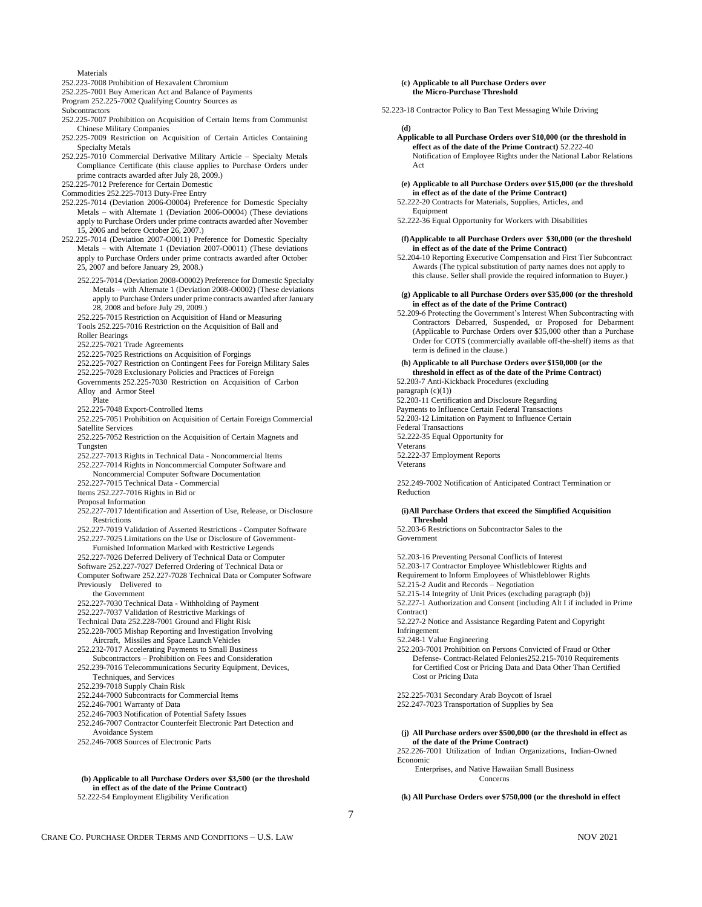#### Materials

252.223-7008 Prohibition of Hexavalent Chromium

252.225-7001 Buy American Act and Balance of Payments

Program 252.225-7002 Qualifying Country Sources as

**Subcontractors** 

- 252.225-7007 Prohibition on Acquisition of Certain Items from Communist Chinese Military Companies
- 252.225-7009 Restriction on Acquisition of Certain Articles Containing Specialty Metals
- 252.225-7010 Commercial Derivative Military Article Specialty Metals Compliance Certificate (this clause applies to Purchase Orders under prime contracts awarded after July 28, 2009.)
- 252.225-7012 Preference for Certain Domestic

Commodities 252.225-7013 Duty-Free Entry

- 252.225-7014 (Deviation 2006-O0004) Preference for Domestic Specialty Metals – with Alternate 1 (Deviation 2006-O0004) (These deviations apply to Purchase Orders under prime contracts awarded after November 15, 2006 and before October 26, 2007.)
- 252.225-7014 (Deviation 2007-O0011) Preference for Domestic Specialty Metals – with Alternate 1 (Deviation 2007-O0011) (These deviations apply to Purchase Orders under prime contracts awarded after October 25, 2007 and before January 29, 2008.)
	- 252.225-7014 (Deviation 2008-O0002) Preference for Domestic Specialty Metals – with Alternate 1 (Deviation 2008-O0002) (These deviations apply to Purchase Orders under prime contracts awarded after January 28, 2008 and before July 29, 2009.)
	- 252.225-7015 Restriction on Acquisition of Hand or Measuring Tools 252.225-7016 Restriction on the Acquisition of Ball and Roller Bearings
	-
	- 252.225-7021 Trade Agreements
	- 252.225-7025 Restrictions on Acquisition of Forgings
	- 252.225-7027 Restriction on Contingent Fees for Foreign Military Sales
	- 252.225-7028 Exclusionary Policies and Practices of Foreign
	- Governments 252.225-7030 Restriction on Acquisition of Carbon Alloy and Armor Steel
	- Plate
	- 252.225-7048 Export-Controlled Items

252.225-7051 Prohibition on Acquisition of Certain Foreign Commercial Satellite Services

- 252.225-7052 Restriction on the Acquisition of Certain Magnets and Tungsten
- 252.227-7013 Rights in Technical Data Noncommercial Items 252.227-7014 Rights in Noncommercial Computer Software and
- Noncommercial Computer Software Documentation

252.227-7015 Technical Data - Commercial

- Items 252.227-7016 Rights in Bid or
- Proposal Information
- 252.227-7017 Identification and Assertion of Use, Release, or Disclosure **Restrictions**
- 252.227-7019 Validation of Asserted Restrictions Computer Software 252.227-7025 Limitations on the Use or Disclosure of Government-
- Furnished Information Marked with Restrictive Legends 252.227-7026 Deferred Delivery of Technical Data or Computer Software 252.227-7027 Deferred Ordering of Technical Data or
- Computer Software 252.227-7028 Technical Data or Computer Software Previously Delivered to
- the Government
- 252.227-7030 Technical Data Withholding of Payment
- 252.227-7037 Validation of Restrictive Markings of
- Technical Data 252.228-7001 Ground and Flight Risk
- 252.228-7005 Mishap Reporting and Investigation Involving Aircraft, Missiles and Space LaunchVehicles
- 252.232-7017 Accelerating Payments to Small Business
- Subcontractors Prohibition on Fees and Consideration 252.239-7016 Telecommunications Security Equipment, Devices,
- Techniques, and Services
- 252.239-7018 Supply Chain Risk
- 252.244-7000 Subcontracts for Commercial Items
- 252.246-7001 Warranty of Data
- 252.246-7003 Notification of Potential Safety Issues
- 252.246-7007 Contractor Counterfeit Electronic Part Detection and Avoidance System
- 252.246-7008 Sources of Electronic Parts

# **(b) Applicable to all Purchase Orders over \$3,500 (or the threshold in effect as of the date of the Prime Contract)**

52.222-54 Employment Eligibility Verification

## **(c) Applicable to all Purchase Orders over the Micro-Purchase Threshold**

52.223-18 Contractor Policy to Ban Text Messaging While Driving

- **(d) Applicable to all Purchase Orders over \$10,000 (or the threshold in effect as of the date of the Prime Contract)** 52.222-40 Notification of Employee Rights under the National Labor Relations Act
- **(e) Applicable to all Purchase Orders over \$15,000 (or the threshold in effect as of the date of the Prime Contract)**
- 52.222-20 Contracts for Materials, Supplies, Articles, and Equipment
- 52.222-36 Equal Opportunity for Workers with Disabilities

### **(f)Applicable to all Purchase Orders over \$30,000 (or the threshold in effect as of the date of the Prime Contract)**

52.204-10 Reporting Executive Compensation and First Tier Subcontract Awards (The typical substitution of party names does not apply to this clause. Seller shall provide the required information to Buyer.)

### **(g) Applicable to all Purchase Orders over \$35,000 (or the threshold in effect as of the date of the Prime Contract)**

52.209-6 Protecting the Government's Interest When Subcontracting with Contractors Debarred, Suspended, or Proposed for Debarment (Applicable to Purchase Orders over \$35,000 other than a Purchase Order for COTS (commercially available off-the-shelf) items as that term is defined in the clause.)

**(h) Applicable to all Purchase Orders over \$150,000 (or the threshold in effect as of the date of the Prime Contract)** 52.203-7 Anti-Kickback Procedures (excluding paragraph (c)(1)) 52.203-11 Certification and Disclosure Regarding Payments to Influence Certain Federal Transactions 52.203-12 Limitation on Payment to Influence Certain Federal Transactions 52.222-35 Equal Opportunity for

Veterans 52.222-37 Employment Reports

Veterans

252.249-7002 Notification of Anticipated Contract Termination or Reduction

# **(i)All Purchase Orders that exceed the Simplified Acquisition Threshold**

52.203-6 Restrictions on Subcontractor Sales to the Government

52.203-16 Preventing Personal Conflicts of Interest 52.203-17 Contractor Employee Whistleblower Rights and Requirement to Inform Employees of Whistleblower Rights 52.215-2 Audit and Records – Negotiation 52.215-14 Integrity of Unit Prices (excluding paragraph (b)) 52.227-1 Authorization and Consent (including Alt I if included in Prime Contract) 52.227-2 Notice and Assistance Regarding Patent and Copyright Infringement 52.248-1 Value Engineering

252.203-7001 Prohibition on Persons Convicted of Fraud or Other Defense- Contract-Related Felonies252.215-7010 Requirements for Certified Cost or Pricing Data and Data Other Than Certified Cost or Pricing Data

252.225-7031 Secondary Arab Boycott of Israel 252.247-7023 Transportation of Supplies by Sea

# **(j) All Purchase orders over \$500,000 (or the threshold in effect as of the date of the Prime Contract)**

252.226-7001 Utilization of Indian Organizations, Indian-Owned Economic

Enterprises, and Native Hawaiian Small Business Concerns

**(k) All Purchase Orders over \$750,000 (or the threshold in effect**